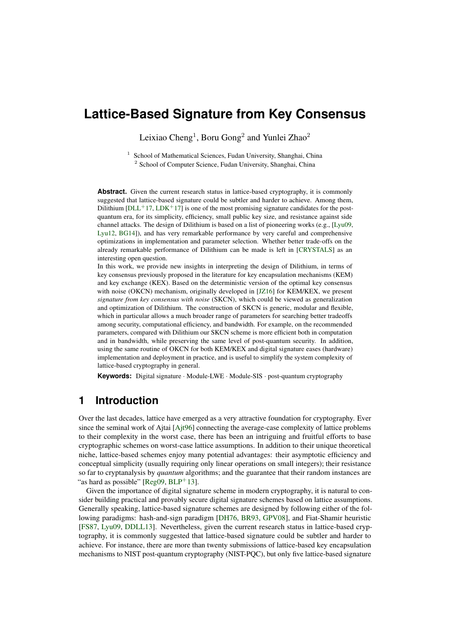# **Lattice-Based Signature from Key Consensus**

Leixiao Cheng<sup>1</sup>, Boru Gong<sup>2</sup> and Yunlei Zhao<sup>2</sup>

<sup>1</sup> School of Mathematical Sciences, Fudan University, Shanghai, China <sup>2</sup> School of Computer Science, Fudan University, Shanghai, China

Abstract. Given the current research status in lattice-based cryptography, it is commonly suggested that lattice-based signature could be subtler and harder to achieve. Among them, Dilithium  $[DLL+17, LDK+17]$  $[DLL+17, LDK+17]$  $[DLL+17, LDK+17]$  $[DLL+17, LDK+17]$  is one of the most promising signature candidates for the postquantum era, for its simplicity, efficiency, small public key size, and resistance against side channel attacks. The design of Dilithium is based on a list of pioneering works (e.g., [\[Lyu09,](#page-16-1) [Lyu12,](#page-16-2) [BG14\]](#page-15-1)), and has very remarkable performance by very careful and comprehensive optimizations in implementation and parameter selection. Whether better trade-offs on the already remarkable performance of Dilithium can be made is left in [\[CRYSTALS\]](#page-15-2) as an interesting open question.

In this work, we provide new insights in interpreting the design of Dilithium, in terms of key consensus previously proposed in the literature for key encapsulation mechanisms (KEM) and key exchange (KEX). Based on the deterministic version of the optimal key consensus with noise (OKCN) mechanism, originally developed in [\[JZ16\]](#page-16-3) for KEM/KEX, we present *signature from key consensus with noise* (SKCN), which could be viewed as generalization and optimization of Dilithium. The construction of SKCN is generic, modular and flexible, which in particular allows a much broader range of parameters for searching better tradeoffs among security, computational efficiency, and bandwidth. For example, on the recommended parameters, compared with Dilithium our SKCN scheme is more efficient both in computation and in bandwidth, while preserving the same level of post-quantum security. In addition, using the same routine of OKCN for both KEM/KEX and digital signature eases (hardware) implementation and deployment in practice, and is useful to simplify the system complexity of lattice-based cryptography in general.

**Keywords:** Digital signature · Module-LWE · Module-SIS · post-quantum cryptography

## **1 Introduction**

Over the last decades, lattice have emerged as a very attractive foundation for cryptography. Ever since the seminal work of Aitai [Ait96] connecting the average-case complexity of lattice problems to their complexity in the worst case, there has been an intriguing and fruitful efforts to base cryptographic schemes on worst-case lattice assumptions. In addition to their unique theoretical niche, lattice-based schemes enjoy many potential advantages: their asymptotic efficiency and conceptual simplicity (usually requiring only linear operations on small integers); their resistance so far to cryptanalysis by *quantum* algorithms; and the guarantee that their random instances are "as hard as possible"  $[Reg09, BLP+13]$  $[Reg09, BLP+13]$  $[Reg09, BLP+13]$  $[Reg09, BLP+13]$ .

Given the importance of digital signature scheme in modern cryptography, it is natural to consider building practical and provably secure digital signature schemes based on lattice assumptions. Generally speaking, lattice-based signature schemes are designed by following either of the following paradigms: hash-and-sign paradigm [\[DH76,](#page-15-4) [BR93,](#page-15-5) [GPV08\]](#page-16-4), and Fiat-Shamir heuristic [\[FS87,](#page-16-5) [Lyu09,](#page-16-1) [DDLL13\]](#page-15-6). Nevertheless, given the current research status in lattice-based cryptography, it is commonly suggested that lattice-based signature could be subtler and harder to achieve. For instance, there are more than twenty submissions of lattice-based key encapsulation mechanisms to NIST post-quantum cryptography (NIST-PQC), but only five lattice-based signature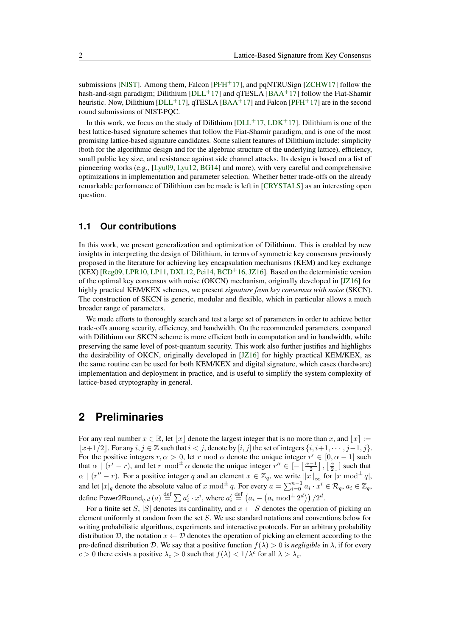submissions [\[NIST\]](#page-16-6). Among them, Falcon  $[PFH<sup>+</sup>17]$  $[PFH<sup>+</sup>17]$ , and pqNTRUSign [\[ZCHW17\]](#page-17-2) follow the hash-and-sign paradigm; Dilithium [ $DLL+17$ ] and qTESLA [\[BAA](#page-15-7)+17] follow the Fiat-Shamir heuristic. Now, Dilithium [\[DLL](#page-15-0)+17], qTESLA [\[BAA](#page-15-7)+17] and Falcon [\[PFH](#page-17-1)+17] are in the second round submissions of NIST-PQC.

In this work, we focus on the study of Dilithium  $[DL+17, LDK+17]$  $[DL+17, LDK+17]$  $[DL+17, LDK+17]$ . Dilithium is one of the best lattice-based signature schemes that follow the Fiat-Shamir paradigm, and is one of the most promising lattice-based signature candidates. Some salient features of Dilithium include: simplicity (both for the algorithmic design and for the algebraic structure of the underlying lattice), efficiency, small public key size, and resistance against side channel attacks. Its design is based on a list of pioneering works (e.g., [\[Lyu09,](#page-16-1) [Lyu12,](#page-16-2) [BG14\]](#page-15-1) and more), with very careful and comprehensive optimizations in implementation and parameter selection. Whether better trade-offs on the already remarkable performance of Dilithium can be made is left in [\[CRYSTALS\]](#page-15-2) as an interesting open question.

## **1.1 Our contributions**

In this work, we present generalization and optimization of Dilithium. This is enabled by new insights in interpreting the design of Dilithium, in terms of symmetric key consensus previously proposed in the literature for achieving key encapsulation mechanisms (KEM) and key exchange  $(KEX)$  [\[Reg09,](#page-17-0) [LPR10,](#page-16-7) [LP11,](#page-16-8) [DXL12,](#page-15-8) [Pei14,](#page-16-9) [BCD](#page-15-9)<sup>+</sup>16, [JZ16\]](#page-16-3). Based on the deterministic version of the optimal key consensus with noise (OKCN) mechanism, originally developed in [\[JZ16\]](#page-16-3) for highly practical KEM/KEX schemes, we present *signature from key consensus with noise* (SKCN). The construction of SKCN is generic, modular and flexible, which in particular allows a much broader range of parameters.

We made efforts to thoroughly search and test a large set of parameters in order to achieve better trade-offs among security, efficiency, and bandwidth. On the recommended parameters, compared with Dilithium our SKCN scheme is more efficient both in computation and in bandwidth, while preserving the same level of post-quantum security. This work also further justifies and highlights the desirability of OKCN, originally developed in [\[JZ16\]](#page-16-3) for highly practical KEM/KEX, as the same routine can be used for both KEM/KEX and digital signature, which eases (hardware) implementation and deployment in practice, and is useful to simplify the system complexity of lattice-based cryptography in general.

## **2 Preliminaries**

For any real number  $x \in \mathbb{R}$ , let  $|x|$  denote the largest integer that is no more than *x*, and  $|x| :=$  $|x+1/2|$ . For any  $i, j \in \mathbb{Z}$  such that  $i < j$ , denote by  $[i, j]$  the set of integers  $\{i, i+1, \cdots, j-1, j\}$ . For the positive integers  $r, \alpha > 0$ , let  $r \mod \alpha$  denote the unique integer  $r' \in [0, \alpha - 1]$  such that  $\alpha \mid (r'-r)$ , and let  $r \mod \pm \alpha$  denote the unique integer  $r'' \in \left[-\left\lfloor \frac{\alpha-1}{2} \right\rfloor, \left\lfloor \frac{\alpha}{2} \right\rfloor \right]$  such that  $\alpha \mid (r'' - r)$ . For a positive integer *q* and an element  $x \in \mathbb{Z}_q$ , we write  $||x||_{\infty}$  for  $|x \mod{\pm q}|$ , and let  $|x|_q$  denote the absolute value of  $x \mod^{\pm} q$ . For every  $a = \sum_{i=0}^{n-1} a_i \cdot x^i \in \mathcal{R}_q$ ,  $a_i \in \mathbb{Z}_q$ ,  $\text{define Power2Round}_{q,d}\left(a\right) \overset{\text{def}}{=} \sum a_i' \cdot x^i, \text{where } a_i' \overset{\text{def}}{=} \left(a_i - \left(a_i \bmod^{\pm} 2^d\right)\right) / 2^d.$ 

For a finite set *S*, |*S*| denotes its cardinality, and  $x \leftarrow S$  denotes the operation of picking an element uniformly at random from the set *S*. We use standard notations and conventions below for writing probabilistic algorithms, experiments and interactive protocols. For an arbitrary probability distribution D, the notation  $x \leftarrow D$  denotes the operation of picking an element according to the pre-defined distribution D. We say that a positive function  $f(\lambda) > 0$  is *negligible* in  $\lambda$ , if for every *c* > 0 there exists a positive  $\lambda_c$  > 0 such that  $f(\lambda) < 1/\lambda^c$  for all  $\lambda > \lambda_c$ .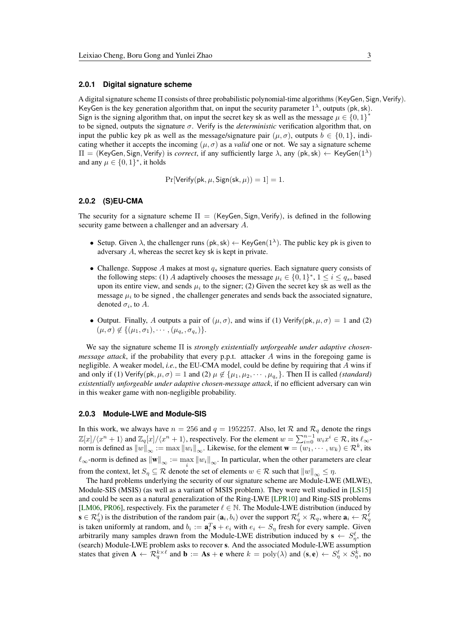#### **2.0.1 Digital signature scheme**

A digital signature scheme Π consists of three probabilistic polynomial-time algorithms(KeyGen*,* Sign*,* Verify). KeyGen is the key generation algorithm that, on input the security parameter  $1^{\lambda}$ , outputs (pk, sk). Sign is the signing algorithm that, on input the secret key sk as well as the message  $\mu \in \{0,1\}^*$ to be signed, outputs the signature  $\sigma$ . Verify is the *deterministic* verification algorithm that, on input the public key pk as well as the message/signature pair  $(\mu, \sigma)$ , outputs  $b \in \{0, 1\}$ , indicating whether it accepts the incoming  $(\mu, \sigma)$  as a *valid* one or not. We say a signature scheme  $\Pi = (KeyGen, Sign, Verify)$  is *correct*, if any sufficiently large  $\lambda$ , any  $(\mathsf{pk}, \mathsf{sk}) \leftarrow \mathsf{KeyGen}(1^{\lambda})$ and any  $\mu \in \{0, 1\}^*$ , it holds

$$
Pr[Verify(pk, \mu, Sign(sk, \mu)) = 1] = 1.
$$

#### **2.0.2 (S)EU-CMA**

The security for a signature scheme  $\Pi = (KeyGen, Sign, Verify)$ , is defined in the following security game between a challenger and an adversary *A*.

- Setup. Given  $\lambda$ , the challenger runs (pk, sk)  $\leftarrow$  KeyGen( $1^{\lambda}$ ). The public key pk is given to adversary *A*, whereas the secret key sk is kept in private.
- Challenge. Suppose *A* makes at most *q<sup>s</sup>* signature queries. Each signature query consists of the following steps: (1) *A* adaptively chooses the message  $\mu_i \in \{0, 1\}^*, 1 \leq i \leq q_s$ , based upon its entire view, and sends  $\mu_i$  to the signer; (2) Given the secret key sk as well as the message  $\mu_i$  to be signed, the challenger generates and sends back the associated signature, denoted  $\sigma_i$ , to A.
- Output. Finally, *A* outputs a pair of  $(\mu, \sigma)$ , and wins if (1) Verify(pk,  $\mu, \sigma$ ) = 1 and (2)  $(\mu, \sigma) \notin \{(\mu_1, \sigma_1), \cdots, (\mu_{q_s}, \sigma_{q_s})\}.$

We say the signature scheme Π is *strongly existentially unforgeable under adaptive chosenmessage attack*, if the probability that every p.p.t. attacker *A* wins in the foregoing game is negligible. A weaker model, *i.e.*, the EU-CMA model, could be define by requiring that *A* wins if and only if (1) Verify(pk,  $\mu$ ,  $\sigma$ ) = 1 and (2)  $\mu \notin {\mu_1, \mu_2, \cdots, \mu_{q_s}}$ . Then  $\Pi$  is called *(standard) existentially unforgeable under adaptive chosen-message attack*, if no efficient adversary can win in this weaker game with non-negligible probability.

#### **2.0.3 Module-LWE and Module-SIS**

In this work, we always have  $n = 256$  and  $q = 1952257$ . Also, let R and  $\mathcal{R}_q$  denote the rings  $\mathbb{Z}[x]/\langle x^n + 1 \rangle$  and  $\mathbb{Z}_q[x]/\langle x^n + 1 \rangle$ , respectively. For the element  $w = \sum_{i=0}^{n-1} w_i x^i \in \mathcal{R}$ , its  $\ell_{\infty}$ norm is defined as  $\|w\|_{\infty} := \max \|w_i\|_{\infty}$ . Likewise, for the element  $\mathbf{w} = (w_1, \dots, w_k) \in \mathcal{R}^k$ , its  $\ell_{\infty}$ -norm is defined as  $\|\mathbf{w}\|_{\infty} := \max_{i} \|w_i\|_{\infty}$ . In particular, when the other parameters are clear from the context, let  $S_\eta \subseteq \mathcal{R}$  denote the set of elements  $w \in \mathcal{R}$  such that  $\|w\|_{\infty} \leq \eta$ .

The hard problems underlying the security of our signature scheme are Module-LWE (MLWE), Module-SIS (MSIS) (as well as a variant of MSIS problem). They were well studied in [\[LS15\]](#page-16-10) and could be seen as a natural generalization of the Ring-LWE [\[LPR10\]](#page-16-7) and Ring-SIS problems [\[LM06,](#page-16-11) [PR06\]](#page-17-3), respectively. Fix the parameter  $\ell \in \mathbb{N}$ . The Module-LWE distribution (induced by  $\mathbf{s} \in \mathcal{R}_q^{\ell}$  is the distribution of the random pair  $(\mathbf{a}_i, b_i)$  over the support  $\mathcal{R}_q^{\ell} \times \mathcal{R}_q$ , where  $\mathbf{a}_i \leftarrow \mathcal{R}_q^{\ell}$ is taken uniformly at random, and  $b_i := \mathbf{a}_i^T \mathbf{s} + e_i$  with  $e_i \leftarrow S_\eta$  fresh for every sample. Given arbitrarily many samples drawn from the Module-LWE distribution induced by  $\mathbf{s} \leftarrow S^{\ell}_{\eta}$ , the (search) Module-LWE problem asks to recover s. And the associated Module-LWE assumption states that given  $A \leftarrow \mathcal{R}_q^{k \times \ell}$  and  $b := As + e$  where  $k = \text{poly}(\lambda)$  and  $(s, e) \leftarrow S_\eta^{\ell} \times S_\eta^k$ , no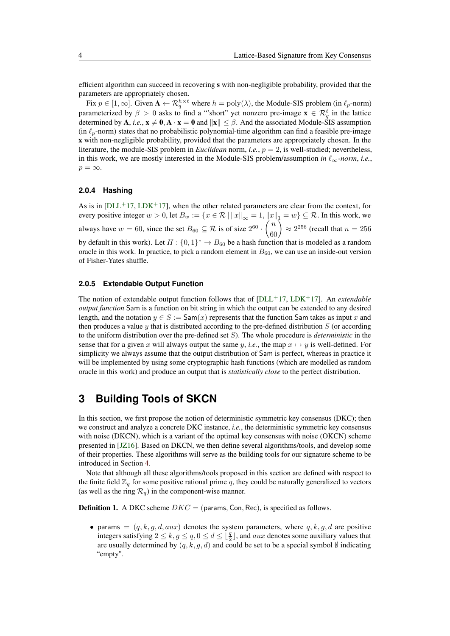efficient algorithm can succeed in recovering s with non-negligible probability, provided that the parameters are appropriately chosen.

Fix  $p \in [1, \infty]$ . Given  $A \leftarrow \mathcal{R}_q^{h \times \ell}$  where  $h = \text{poly}(\lambda)$ , the Module-SIS problem (in  $\ell_p$ -norm) parameterized by  $\beta > 0$  asks to find a "'short" yet nonzero pre-image  $\mathbf{x} \in \mathcal{R}_q^{\ell}$  in the lattice determined by A, *i.e.*,  $x \ne 0$ , A ·  $x = 0$  and  $||x|| \le \beta$ . And the associated Module-SIS assumption (in  $\ell_p$ -norm) states that no probabilistic polynomial-time algorithm can find a feasible pre-image x with non-negligible probability, provided that the parameters are appropriately chosen. In the literature, the module-SIS problem in *Euclidean* norm, *i.e.*, *p* = 2, is well-studied; nevertheless, in this work, we are mostly interested in the Module-SIS problem/assumption *in*  $\ell_{\infty}$ *-norm*, *i.e.*,  $p = \infty$ .

#### **2.0.4 Hashing**

As is in  $[DL+17, LDK+17]$  $[DL+17, LDK+17]$  $[DL+17, LDK+17]$ , when the other related parameters are clear from the context, for every positive integer  $w > 0$ , let  $B_w := \{x \in \mathcal{R} \mid ||x||_{\infty} = 1, ||x||_1 = w\} \subseteq \mathcal{R}$ . In this work, we always have  $w = 60$ , since the set  $B_{60} \subseteq \mathcal{R}$  is of size  $2^{60} \cdot \binom{n}{60} \approx 2^{256}$  (recall that  $n = 256$ by default in this work). Let  $H: \{0,1\}^* \to B_{60}$  be a hash function that is modeled as a random oracle in this work. In practice, to pick a random element in  $B_{60}$ , we can use an inside-out version of Fisher-Yates shuffle.

#### **2.0.5 Extendable Output Function**

The notion of extendable output function follows that of [\[DLL](#page-15-0)<sup>+</sup>17, [LDK](#page-16-0)<sup>+</sup>17]. An *extendable output function* Sam is a function on bit string in which the output can be extended to any desired length, and the notation  $y \in S := \text{Sam}(x)$  represents that the function Sam takes as input x and then produces a value *y* that is distributed according to the pre-defined distribution *S* (or according to the uniform distribution over the pre-defined set *S*). The whole procedure is *deterministic* in the sense that for a given *x* will always output the same *y*, *i.e.*, the map  $x \mapsto y$  is well-defined. For simplicity we always assume that the output distribution of Sam is perfect, whereas in practice it will be implemented by using some cryptographic hash functions (which are modelled as random oracle in this work) and produce an output that is *statistically close* to the perfect distribution.

## <span id="page-3-0"></span>**3 Building Tools of SKCN**

In this section, we first propose the notion of deterministic symmetric key consensus (DKC); then we construct and analyze a concrete DKC instance, *i.e.*, the deterministic symmetric key consensus with noise (DKCN), which is a variant of the optimal key consensus with noise (OKCN) scheme presented in [\[JZ16\]](#page-16-3). Based on DKCN, we then define several algorithms/tools, and develop some of their properties. These algorithms will serve as the building tools for our signature scheme to be introduced in Section [4.](#page-5-0)

Note that although all these algorithms/tools proposed in this section are defined with respect to the finite field  $\mathbb{Z}_q$  for some positive rational prime  $q$ , they could be naturally generalized to vectors (as well as the ring  $\mathcal{R}_q$ ) in the component-wise manner.

**Definition 1.** A DKC scheme  $DKC =$  (params, Con, Rec), is specified as follows.

• params  $=(q, k, q, d, aux)$  denotes the system parameters, where  $q, k, q, d$  are positive integers satisfying  $2 \le k$ ,  $g \le q$ ,  $0 \le d \le \lfloor \frac{q}{2} \rfloor$ , and *aux* denotes some auxiliary values that are usually determined by  $(q, k, g, d)$  and could be set to be a special symbol  $\emptyset$  indicating "empty".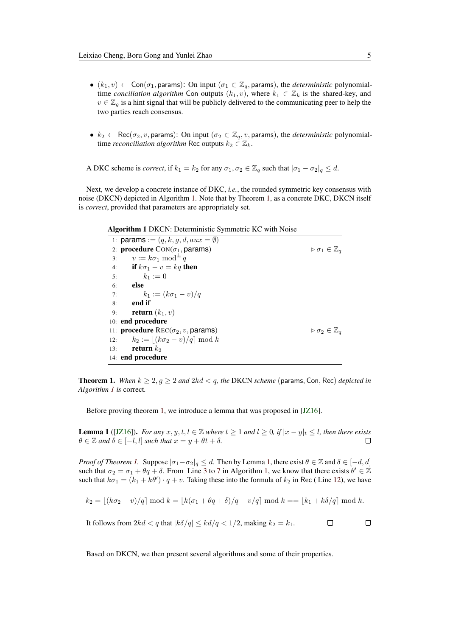- $(k_1, v) \leftarrow \text{Con}(\sigma_1, \text{params})$ : On input  $(\sigma_1 \in \mathbb{Z}_q, \text{params})$ , the *deterministic* polynomialtime *conciliation algorithm* Con outputs  $(k_1, v)$ , where  $k_1 \in \mathbb{Z}_k$  is the shared-key, and  $v \in \mathbb{Z}_q$  is a hint signal that will be publicly delivered to the communicating peer to help the two parties reach consensus.
- $k_2 \leftarrow \text{Rec}(\sigma_2, v, \text{params})$ : On input  $(\sigma_2 \in \mathbb{Z}_q, v, \text{params})$ , the *deterministic* polynomialtime *reconciliation algorithm* Rec outputs  $k_2 \in \mathbb{Z}_k$ .

A DKC scheme is *correct*, if  $k_1 = k_2$  for any  $\sigma_1, \sigma_2 \in \mathbb{Z}_q$  such that  $|\sigma_1 - \sigma_2|_q \leq d$ .

Next, we develop a concrete instance of DKC, *i.e.*, the rounded symmetric key consensus with noise (DKCN) depicted in Algorithm [1.](#page-4-0) Note that by Theorem [1,](#page-4-1) as a concrete DKC, DKCN itself is *correct*, provided that parameters are appropriately set.

<span id="page-4-0"></span>

|     | Algorithm 1 DKCN: Deterministic Symmetric KC with Noise       |                                            |
|-----|---------------------------------------------------------------|--------------------------------------------|
|     | 1: params := $(q, k, q, d, aux = \emptyset)$                  |                                            |
|     | 2: <b>procedure</b> $Con(\sigma_1, \text{params})$            | $\triangleright \sigma_1 \in \mathbb{Z}_q$ |
| 3:  | $v := k\sigma_1 \bmod^{\pm} q$                                |                                            |
| 4:  | if $k\sigma_1 - v = kq$ then                                  |                                            |
| 5:  | $k_1 := 0$                                                    |                                            |
| 6:  | else                                                          |                                            |
| 7:  | $k_1 := (k\sigma_1 - v)/q$                                    |                                            |
| 8:  | end if                                                        |                                            |
| 9:  | <b>return</b> $(k_1, v)$                                      |                                            |
|     | 10: end procedure                                             |                                            |
|     | 11: <b>procedure</b> $\text{Rec}(\sigma_2, v, \text{params})$ | $\triangleright \sigma_2 \in \mathbb{Z}_a$ |
| 12: | $k_2 :=  (k\sigma_2 - v)/q  \bmod k$                          |                                            |
| 13: | return $k_2$                                                  |                                            |
|     | 14: end procedure                                             |                                            |

<span id="page-4-1"></span>**Theorem 1.** When  $k \geq 2$ ,  $g \geq 2$  and  $2kd < q$ , the DKCN scheme (params, Con, Rec) *depicted in Algorithm [1](#page-4-0) is* correct*.*

Before proving theorem [1,](#page-4-1) we introduce a lemma that was proposed in [\[JZ16\]](#page-16-3).

<span id="page-4-2"></span>**Lemma 1** ([\[JZ16\]](#page-16-3)). *For any*  $x, y, t, l ∈ \mathbb{Z}$  where  $t ≥ 1$  and  $l ≥ 0$ , if  $|x - y|$ <sub> $t ≤ l$ </sub>, then there exists  $\theta \in \mathbb{Z}$  *and*  $\delta \in [-l, l]$  *such that*  $x = y + \theta t + \delta$ *.*  $\Box$ 

*Proof of Theorem [1.](#page-4-1)* Suppose  $|\sigma_1 - \sigma_2|_q \leq d$ . Then by Lemma [1,](#page-4-2) there exist  $\theta \in \mathbb{Z}$  and  $\delta \in [-d, d]$ such that  $\sigma_2 = \sigma_1 + \theta q + \delta$ . From Line [3](#page-4-0) to [7](#page-4-0) in Algorithm [1,](#page-4-0) we know that there exists  $\theta' \in \mathbb{Z}$ such that  $k\sigma_1 = (k_1 + k\theta') \cdot q + v$ . Taking these into the formula of  $k_2$  in Rec (Line [12\)](#page-4-0), we have

$$
k_2 = \lfloor (k\sigma_2 - v)/q \rfloor \bmod k = \lfloor k(\sigma_1 + \theta q + \delta)/q - v/q \rfloor \bmod k = \lfloor k_1 + k\delta/q \rfloor \bmod k.
$$

It follows from  $2kd < q$  that  $|k\delta/q| \leq kd/q < 1/2$ , making  $k_2 = k_1$ .  $\Box$  $\Box$ 

Based on DKCN, we then present several algorithms and some of their properties.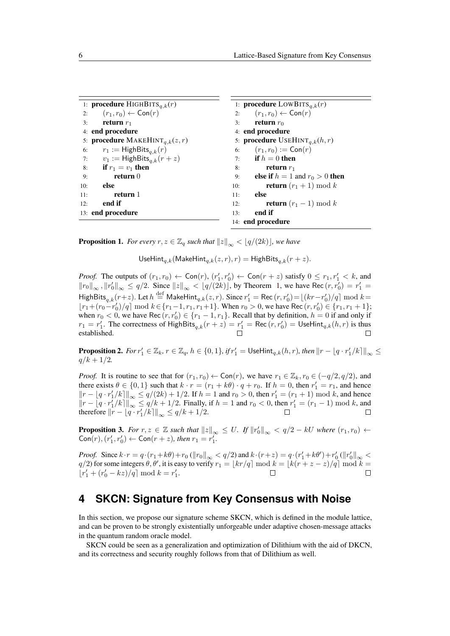| 1: <b>procedure</b> HIGHBITS <sub>q,k</sub> (r) |                                                      |     | 1: <b>procedure</b> LOWBITS <sub>q,k</sub> (r)      |
|-------------------------------------------------|------------------------------------------------------|-----|-----------------------------------------------------|
| 2:                                              | $(r_1,r_0) \leftarrow \text{Con}(r)$                 |     | 2: $(r_1, r_0) \leftarrow \text{Con}(r)$            |
| 3:                                              | return $r_1$                                         | 3:  | return $r_0$                                        |
| 4: end procedure                                |                                                      |     | 4: end procedure                                    |
|                                                 | 5: <b>procedure</b> MAKEHINT <sub>a,k</sub> $(z, r)$ |     | 5: <b>procedure</b> USEHINT <sub>a,k</sub> $(h, r)$ |
| 6:                                              | $r_1 := \mathsf{HighBits}_{q,k}(r)$                  |     | 6: $(r_1, r_0) := \text{Con}(r)$                    |
| 7:                                              | $v_1 := \mathsf{HighBits}_{a,k}(r+z)$                |     | 7: if $h = 0$ then                                  |
| 8:                                              | if $r_1 = v_1$ then                                  | 8:  | return $r_1$                                        |
| 9:                                              | return $0$                                           | 9:  | else if $h = 1$ and $r_0 > 0$ then                  |
| 10:                                             | else                                                 | 10: | <b>return</b> $(r_1 + 1) \bmod k$                   |
| 11:                                             | return 1                                             | 11: | else                                                |
| 12:                                             | end if                                               | 12: | <b>return</b> $(r_1 - 1) \bmod k$                   |
| 13: end procedure                               |                                                      | 13: | end if                                              |
|                                                 |                                                      |     | 14: end procedure                                   |

<span id="page-5-2"></span>**Proposition 1.** *For every*  $r, z \in \mathbb{Z}_q$  *such that*  $||z||_{\infty} < |q/(2k)|$ *, we have* 

UseHint<sub>q,k</sub>(MakeHint<sub>q,k</sub>(*z*, *r*), *r*) = HighBits<sub>q,k</sub>(*r* + *z*).

*Proof.* The outputs of  $(r_1, r_0) \leftarrow \text{Con}(r), (r'_1, r'_0) \leftarrow \text{Con}(r + z)$  satisfy  $0 \le r_1, r'_1 < k$ , and  $||r_0||_{\infty}$ ,  $||r'_0||_{\infty} \le q/2$ . Since  $||z||_{\infty} < |q/(2k)|$ , by Theorem [1,](#page-4-1) we have Rec  $(r, r'_0) = r'_1 =$  $\mathsf{HighBits}_{q,k}(r+z)$ . Let  $h \stackrel{\text{def}}{=} \mathsf{MakeHint}_{q,k}(z,r)$ . Since  $r'_1 = \mathsf{Rec}\left(r, r'_0\right) = \lfloor (kr - r'_0)/q \rfloor \bmod k = 0$  $\lfloor r_1 + (r_0 - r'_0)/q \rfloor$  mod  $k \in \{r_1 - 1, r_1, r_1 + 1\}$ . When  $r_0 > 0$ , we have Rec  $(r, r'_0) \in \{r_1, r_1 + 1\}$ ; when  $r_0 < 0$ , we have Rec  $(r, r'_0) \in \{r_1 - 1, r_1\}$ . Recall that by definition,  $h = 0$  if and only if  $r_1 = r'_1$ . The correctness of HighBits $_{q,k}(r + z) = r'_1 = \text{Rec}(r, r'_0) = \text{UseHint}_{q,k}(h, r)$  is thus established.

**Proposition 2.** For  $r'_1 \in \mathbb{Z}_k$ ,  $r \in \mathbb{Z}_q$ ,  $h \in \{0,1\}$ , if  $r'_1 = \mathsf{UseHint}_{q,k}(h,r)$ , then  $||r - \lfloor q \cdot r'_1 / k \rceil ||_{\infty} \le$  $q/k + 1/2$ .

*Proof.* It is routine to see that for  $(r_1, r_0) \leftarrow \text{Con}(r)$ , we have  $r_1 \in \mathbb{Z}_k$ ,  $r_0 \in (-q/2, q/2)$ , and there exists  $\theta \in \{0, 1\}$  such that  $k \cdot r = (r_1 + k\theta) \cdot q + r_0$ . If  $h = 0$ , then  $r'_1 = r_1$ , and hence  $||r − [q \cdot r'_1/k]||_{\infty}$  ≤  $q/(2k) + 1/2$ . If  $h = 1$  and  $r_0 > 0$ , then  $r'_1 = (r_1 + 1)$  mod *k*, and hence  $||r - [q \cdot r'_1/k]||_{\infty}$  ≤  $q/k + 1/2$ . Finally, if  $h = 1$  and  $r_0 < 0$ , then  $r'_1 = (r_1 - 1) \mod k$ , and *therefore*  $||r - \lfloor q \cdot r'_1/k \rfloor ||_{\infty}$  ≤  $q/k + 1/2$ .

<span id="page-5-1"></span>**Proposition 3.** For  $r, z \in \mathbb{Z}$  such that  $||z||_{\infty} \leq U$ . If  $||r'_0||_{\infty} < q/2 - kU$  where  $(r_1, r_0) \leftarrow$  $\text{Con}(r)$ ,  $(r'_1, r'_0) \leftarrow \text{Con}(r + z)$ , then  $r_1 = r'_1$ .

*Proof.* Since  $k \cdot r = q \cdot (r_1 + k\theta) + r_0$  ( $||r_0||_{\infty} < q/2$ ) and  $k \cdot (r + z) = q \cdot (r'_1 + k\theta') + r'_0$  ( $||r'_0||_{\infty} <$ *q*/2) for some integers  $\theta$ ,  $\theta'$ , it is easy to verify  $r_1 = \lfloor kr/q \rfloor \bmod k = \lfloor k(r + z - z)/q \rfloor \bmod k = 0$  $[r'_1 + (r'_0 - kz)/q] \text{ mod } k = r'_1.$ 

## <span id="page-5-0"></span>**4 SKCN: Signature from Key Consensus with Noise**

In this section, we propose our signature scheme SKCN, which is defined in the module lattice, and can be proven to be strongly existentially unforgeable under adaptive chosen-message attacks in the quantum random oracle model.

SKCN could be seen as a generalization and optimization of Dilithium with the aid of DKCN, and its correctness and security roughly follows from that of Dilithium as well.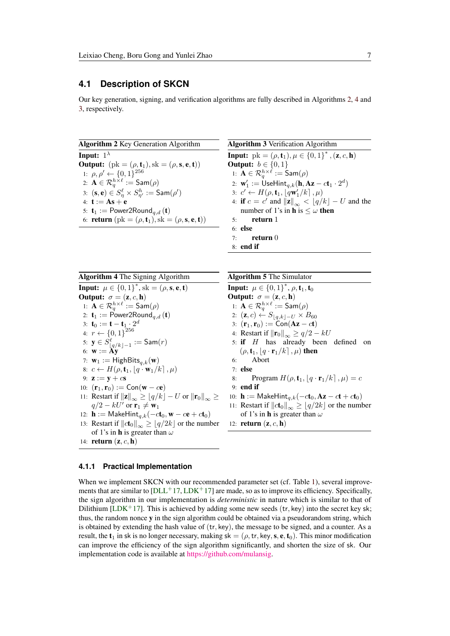### **4.1 Description of SKCN**

Our key generation, signing, and verification algorithms are fully described in Algorithms [2,](#page-6-0) [4](#page-6-1) and [3,](#page-6-2) respectively.

<span id="page-6-0"></span>Algorithm 2 Key Generation Algorithm **Input:**  $1^{\lambda}$ **Output:**  $(\text{pk} = (\rho, \mathbf{t}_1), \text{sk} = (\rho, \mathbf{s}, \mathbf{e}, \mathbf{t}))$ 1:  $\rho, \rho' \leftarrow \{0, 1\}^{256}$ 2:  $\mathbf{A} \in \mathcal{R}_q^{h \times \ell} := \mathsf{Sam}(\rho)$ 3:  $(\mathbf{s}, \mathbf{e}) \in S_\eta^\ell \times S_{\eta'}^h := \mathsf{Sam}(\rho')$ 4:  $t := As + e$ 5:  $\mathbf{t}_1 := \text{Power2Round}_{q,d}(\mathbf{t})$ 6: **return**  $(\text{pk} = (\rho, t_1), \text{sk} = (\rho, s, e, t))$  <span id="page-6-3"></span><span id="page-6-2"></span>Algorithm 3 Verification Algorithm **Input:**  $pk = (\rho, t_1), \mu \in \{0, 1\}^*, (\mathbf{z}, c, \mathbf{h})$ **Output:** *b* ∈ {0, 1} 1:  $\mathbf{A} \in \mathcal{R}_q^{h \times \ell} := \mathsf{Sam}(\rho)$ 2:  $\mathbf{w}'_1 := \mathsf{UseHint}_{q,k}(\mathbf{h}, \mathbf{Az}-c\mathbf{t}_1\cdot 2^d)$ 3:  $c' \leftarrow H(\rho, \mathbf{t}_1, \lfloor q\mathbf{w}'_1/k \rfloor, \mu)$ 4: **if**  $c = c'$  and  $||\mathbf{z}||_{\infty} < \lfloor q/k \rfloor - U$  and the number of 1's in **h** is  $\leq \omega$  **then** 5: return 1 6: else  $7:$  return  $0$ 8: end if

<span id="page-6-1"></span>Algorithm 4 The Signing Algorithm **Input:**  $\mu \in \{0, 1\}^*$ , sk =  $(\rho, \mathbf{s}, \mathbf{e}, \mathbf{t})$ **Output:**  $\sigma = (\mathbf{z}, c, \mathbf{h})$ 1:  $\mathbf{A} \in \mathcal{R}_q^{h \times \ell} := \mathsf{Sam}(\rho)$ 2:  $\mathbf{t}_1 := \text{Power2Round}_{q,d}(\mathbf{t})$ 3: **t**<sub>0</sub> := **t** - **t**<sub>1</sub> :  $2^d$ 4:  $r \leftarrow \{0, 1\}^{256}$ 5: **y** ∈  $S^\ell_{\lfloor q/k\rfloor -1}$  := Sam $(r)$ 6:  $\mathbf{w} := \mathbf{A}\mathbf{y}$ 7:  $\mathbf{w}_1 := \mathsf{HighBits}_{q,k}(\mathbf{w})$ 8:  $c \leftarrow H(\rho, \mathbf{t}_1, \left| q \cdot \mathbf{w}_1 / k \right|, \mu)$ 9:  $z := y + c s$ 10:  $(\mathbf{r}_1, \mathbf{r}_0) := \text{Con}(\mathbf{w} - c\mathbf{e})$ 11: Restart if  $\|\mathbf{z}\|_{\infty} \geq \lfloor q/k \rfloor - U$  or  $\|\mathbf{r}_0\|_{\infty} \geq$  $q/2 - kU'$  or  $\mathbf{r}_1 \neq \mathbf{w}_1$ 12: **h** := MakeHint<sub>q,k</sub>( $-ct_0$ , **w**  $-c**e** + ct_0$ ) 13: Restart if  $\|ct_0\|_{\infty} \geq \lfloor q/2k \rfloor$  or the number of 1's in h is greater than *ω* 14: return (z*, c,* h) Algorithm 5 The Simulator **Input:**  $\mu \in \{0,1\}^*, \rho, t_1, t_0$ **Output:**  $\sigma = (\mathbf{z}, c, \mathbf{h})$ 1:  $\mathbf{A} \in \mathcal{R}_q^{h \times \ell} := \mathsf{Sam}(\rho)$ 2:  $(\mathbf{z}, c) \leftarrow S_{\lfloor q,k\rfloor - U} \times B_{60}$ 3:  $(\mathbf{r}_1, \mathbf{r}_0) := \text{Con}(\mathbf{A}\mathbf{z} - ct)$ 4: Restart if  $\|\mathbf{r}_0\|_{\infty} \ge q/2 - kU$ 5: if *H* has already been defined on  $(\rho, \mathbf{t}_1, \mid q \cdot \mathbf{r}_1 / k]$ ,  $\mu$ ) then 6: Abort 7: else 8: Program  $H(\rho, \mathbf{t}_1, |q \cdot \mathbf{r}_1/k], \mu) = c$ 9: end if 10: **h** := MakeHint<sub>q,k</sub>( $-ct_0$ , **Az**  $-ct + ct_0$ ) 11: Restart if  $||ct_0||_{\infty} \geq |q/2k|$  or the number of 1's in h is greater than *ω* 12: return (z*, c,* h)

#### **4.1.1 Practical Implementation**

When we implement SKCN with our recommended parameter set (cf. Table [1\)](#page-8-0), several improvements that are similar to  $[DL+17, LDK+17]$  $[DL+17, LDK+17]$  $[DL+17, LDK+17]$  are made, so as to improve its efficiency. Specifically, the sign algorithm in our implementation is *deterministic* in nature which is similar to that of Dilithium [\[LDK](#page-16-0)<sup>+</sup>17]. This is achieved by adding some new seeds  $(tr, key)$  into the secret key sk; thus, the random nonce y in the sign algorithm could be obtained via a pseudorandom string, which is obtained by extending the hash value of (tr*,* key), the message to be signed, and a counter. As a result, the  $t_1$  in sk is no longer necessary, making sk = ( $\rho$ , tr, key, s, e,  $t_0$ ). This minor modification can improve the efficiency of the sign algorithm significantly, and shorten the size of sk. Our implementation code is available at [https://github.com/mulansig.](https://github.com/mulansig)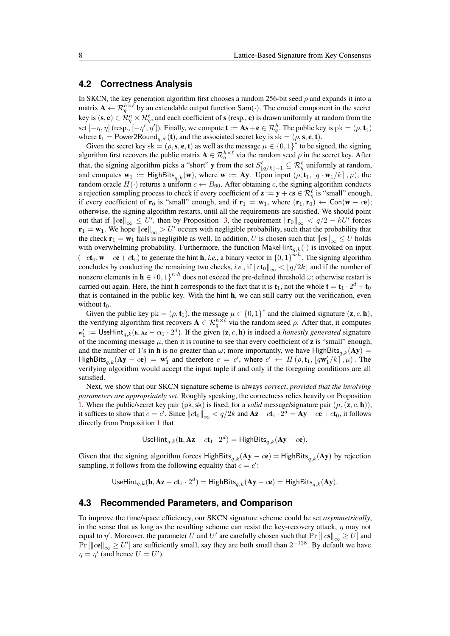### **4.2 Correctness Analysis**

In SKCN, the key generation algorithm first chooses a random 256-bit seed *ρ* and expands it into a matrix  $\mathbf{A} \leftarrow \mathcal{R}_q^{h \times \ell}$  by an extendable output function Sam $(\cdot)$ . The crucial component in the secret key is  $(s, e) \in \mathcal{R}_q^h \times \mathcal{R}_q^\ell$ , and each coefficient of  $s$  (resp.,  $e$ ) is drawn uniformly at random from the set  $[-\eta, \eta]$  (resp.,  $[-\eta', \eta']$ ). Finally, we compute  $\mathbf{t} := \mathbf{A}\mathbf{s} + \mathbf{e} \in \mathcal{R}_q^h$ . The public key is  $pk = (\rho, \mathbf{t}_1)$ where  $\mathbf{t}_1 = \text{Power2Round}_{q,d}(\mathbf{t})$ , and the associated secret key is  $\hat{\textbf{s}}\textbf{k} = (\rho, \textbf{s}, \textbf{e}, \textbf{t})$ .

Given the secret key sk =  $(\rho, \mathbf{s}, \mathbf{e}, \mathbf{t})$  as well as the message  $\mu \in \{0, 1\}^*$  to be signed, the signing algorithm first recovers the public matrix  $A \in \mathcal{R}_q^{h \times \ell}$  via the random seed  $\rho$  in the secret key. After that, the signing algorithm picks a "short" y from the set  $S^{\ell}_{\lfloor q/k\rfloor-1} \subseteq \mathcal{R}^{\ell}_q$  uniformly at random, and computes  $w_1 := HighBits_{q,k}(w)$ , where  $w := Ay$ . Upon input  $(\rho, t_1, [q \cdot w_1/k], \mu)$ , the random oracle  $H(\cdot)$  returns a uniform  $c \leftarrow B_{60}$ . After obtaining *c*, the signing algorithm conducts a rejection sampling process to check if every coefficient of  $\mathbf{z} := \mathbf{y} + c\mathbf{s} \in \mathcal{R}^\ell_q$  is "small" enough, if every coefficient of  $\mathbf{r}_0$  is "small" enough, and if  $\mathbf{r}_1 = \mathbf{w}_1$ , where  $(\mathbf{r}_1, \mathbf{r}_0) \leftarrow \text{Con}(\mathbf{w} - c\mathbf{e})$ ; otherwise, the signing algorithm restarts, until all the requirements are satisfied. We should point out that if  $\left\Vert \mathbf{ce} \right\Vert_{\infty} \leq U'$ , then by Proposition [3,](#page-5-1) the requirement  $\left\Vert \mathbf{r}_0 \right\Vert_{\infty} < q/2 - kU'$  forces  $\mathbf{r}_1 = \mathbf{w}_1$ . We hope  $\|\mathbf{ce}\|_{\infty} > U'$  occurs with negligible probability, such that the probability that the check  $\mathbf{r}_1 = \mathbf{w}_1$  fails is negligible as well. In addition, *U* is chosen such that  $||c\mathbf{s}||_{\infty} \leq U$  holds with overwhelming probability. Furthermore, the function  $\text{MakeHint}_{q,k}(\cdot)$  is invoked on input  $(-c\mathbf{t}_0, \mathbf{w} - c\mathbf{e} + c\mathbf{t}_0)$  to generate the hint **h**, *i.e.*, a binary vector in  $\{0, 1\}^{n \cdot h}$ . The signing algorithm concludes by conducting the remaining two checks, *i.e.*, if  $\left\| c t_0 \right\|_{\infty} < \left\| q/2k \right\|$  and if the number of nonzero elements in  $h \in \{0,1\}^{n \cdot h}$  does not exceed the pre-defined threshold  $\omega$ ; otherwise restart is carried out again. Here, the hint **h** corresponds to the fact that it is  $\mathbf{t}_1$ , not the whole  $\mathbf{t} = \mathbf{t}_1 \cdot 2^d + \mathbf{t}_0$ that is contained in the public key. With the hint h, we can still carry out the verification, even without  $t_0$ .

Given the public key  $pk = (\rho, \mathbf{t}_1)$ , the message  $\mu \in \{0, 1\}^*$  and the claimed signature  $(\mathbf{z}, c, \mathbf{h})$ , the verifying algorithm first recovers  $A \in \mathcal{R}_q^{h \times \ell}$  via the random seed  $\rho$ . After that, it computes  $\mathbf{w}'_1 := \mathsf{UseHint}_{q,k}(\mathbf{h}, \mathbf{Az} - c\mathbf{t}_1 \cdot 2^d)$ . If the given  $(\mathbf{z}, c, \mathbf{h})$  is indeed a *honestly generated* signature of the incoming message  $\mu$ , then it is routine to see that every coefficient of **z** is "small" enough, and the number of 1's in **h** is no greater than  $\omega$ ; more importantly, we have HighBits<sub>q,k</sub>(Ay) =  $\text{HighBits}_{q,k}(\textbf{Ay} - c\textbf{e}) = \textbf{w}'_1$  and therefore  $c = c'$ , where  $c' \leftarrow H(\rho, \textbf{t}_1, \lfloor q\textbf{w}'_1/k \rfloor, \mu)$ . The verifying algorithm would accept the input tuple if and only if the foregoing conditions are all satisfied.

Next, we show that our SKCN signature scheme is always *correct*, *provided that the involving parameters are appropriately set*. Roughly speaking, the correctness relies heavily on Proposition [1.](#page-5-2) When the public/secret key pair (pk, sk) is fixed, for a *valid* message/signature pair ( $\mu$ , (**z**,  $c$ , **h**)), it suffices to show that  $c = c'$ . Since  $||ct_0||_{\infty} < q/2k$  and  $Az - ct_1 \cdot 2^d = Ay - ce + ct_0$ , it follows directly from Proposition [1](#page-5-2) that

UseHint<sub>q,k</sub>(**h**, **Az** – 
$$
c
$$
**t**<sub>1</sub> · 2<sup>d</sup>) = HighBits<sub>q,k</sub>(**Ay** –  $c$ **e**).

Given that the signing algorithm forces HighBits<sub>q,k</sub>(Ay −  $ce$ ) = HighBits<sub>q,k</sub>(Ay) by rejection sampling, it follows from the following equality that  $c = c'$ :

 $\mathsf{UseHint}_{q,k}(\mathbf{h}, \mathbf{Az}-ct_1\cdot 2^d) = \mathsf{HighBits}_{q,k}(\mathbf{Ay}-c\mathbf{e}) = \mathsf{HighBits}_{q,k}(\mathbf{Ay}).$ 

### **4.3 Recommended Parameters, and Comparison**

To improve the time/space efficiency, our SKCN signature scheme could be set *asymmetrically*, in the sense that as long as the resulting scheme can resist the key-recovery attack,  $\eta$  may not equal to  $\eta'$ . Moreover, the parameter *U* and *U'* are carefully chosen such that  $Pr[\|\mathbf{cs}\|_{\infty} \geq U]$  and  $Pr[\Vert c\mathbf{e} \Vert_{\infty} \geq U']$  are sufficiently small, say they are both small than  $2^{-128}$ . By default we have  $\eta = \eta'$  (and hence  $U = U'$ ).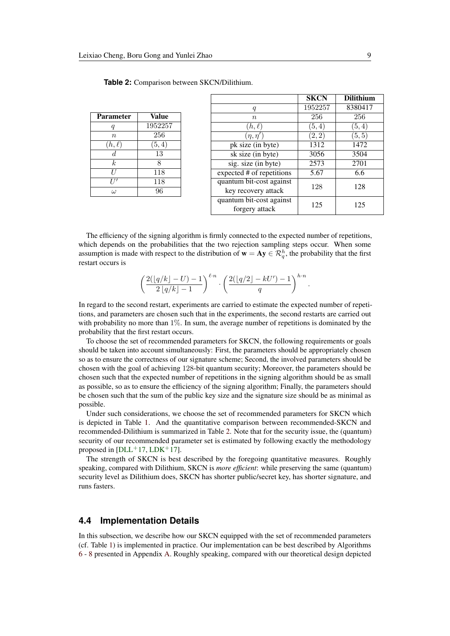| <b>Parameter</b> | <b>Value</b>    |
|------------------|-----------------|
| q                | 1952257         |
| $\boldsymbol{n}$ | 256             |
| $(h,\ell)$       | (5, 4)          |
| $\overline{d}$   | $\overline{13}$ |
| $\boldsymbol{k}$ | 8               |
| U                | 118             |
|                  | 118             |
| $\omega$         | 96              |

<span id="page-8-0"></span>

|                                            | <b>SKCN</b> | <b>Dilithium</b> |
|--------------------------------------------|-------------|------------------|
| q                                          | 1952257     | 8380417          |
| $\it{n}$                                   | 256         | 256              |
| $(h,\ell)$                                 | (5,4)       | (5, 4)           |
| $(\eta,\eta')$                             | (2,2)       | (5,5)            |
| $\overline{pk}$ size (in byte)             | 1312        | 1472             |
| $\overline{sk}$ size (in byte)             | 3056        | 3504             |
| $\overline{\text{sig.}}$ size (in byte)    | 2573        | 2701             |
| expected # of repetitions                  | 5.67        | 6.6              |
| quantum bit-cost against                   | 128         | 128              |
| key recovery attack                        |             |                  |
| quantum bit-cost against<br>forgery attack | 125         | 125              |
|                                            |             |                  |

The efficiency of the signing algorithm is firmly connected to the expected number of repetitions, which depends on the probabilities that the two rejection sampling steps occur. When some assumption is made with respect to the distribution of  $\mathbf{w} = \mathbf{A} \mathbf{y} \in \mathcal{R}_q^h$ , the probability that the first restart occurs is

$$
\left(\frac{2(\lfloor q/k\rfloor -U)-1}{2\lfloor q/k\rfloor -1}\right)^{\ell \cdot n} \cdot \left(\frac{2(\lfloor q/2\rfloor -kU')-1}{q}\right)^{h \cdot n}.
$$

In regard to the second restart, experiments are carried to estimate the expected number of repetitions, and parameters are chosen such that in the experiments, the second restarts are carried out with probability no more than 1%. In sum, the average number of repetitions is dominated by the probability that the first restart occurs.

To choose the set of recommended parameters for SKCN, the following requirements or goals should be taken into account simultaneously: First, the parameters should be appropriately chosen so as to ensure the correctness of our signature scheme; Second, the involved parameters should be chosen with the goal of achieving 128-bit quantum security; Moreover, the parameters should be chosen such that the expected number of repetitions in the signing algorithm should be as small as possible, so as to ensure the efficiency of the signing algorithm; Finally, the parameters should be chosen such that the sum of the public key size and the signature size should be as minimal as possible.

Under such considerations, we choose the set of recommended parameters for SKCN which is depicted in Table [1.](#page-8-0) And the quantitative comparison between recommended-SKCN and recommended-Dilithium is summarized in Table [2.](#page-8-0) Note that for the security issue, the (quantum) security of our recommended parameter set is estimated by following exactly the methodology proposed in  $[DLL+17, LDK+17]$  $[DLL+17, LDK+17]$  $[DLL+17, LDK+17]$  $[DLL+17, LDK+17]$ .

The strength of SKCN is best described by the foregoing quantitative measures. Roughly speaking, compared with Dilithium, SKCN is *more efficient*: while preserving the same (quantum) security level as Dilithium does, SKCN has shorter public/secret key, has shorter signature, and runs fasters.

#### **4.4 Implementation Details**

In this subsection, we describe how our SKCN equipped with the set of recommended parameters (cf. Table [1\)](#page-8-0) is implemented in practice. Our implementation can be best described by Algorithms [6](#page-18-0) - [8](#page-18-1) presented in Appendix [A.](#page-18-2) Roughly speaking, compared with our theoretical design depicted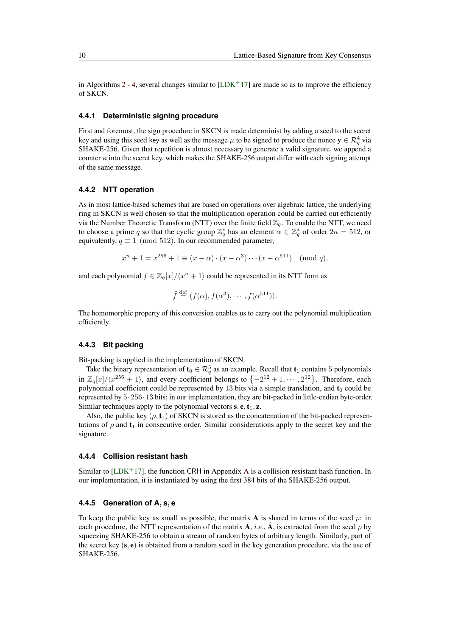in Algorithms [2](#page-6-0) - [4,](#page-6-1) several changes similar to  $[LDK<sup>+</sup>17]$  $[LDK<sup>+</sup>17]$  are made so as to improve the efficiency of SKCN.

#### **4.4.1 Deterministic signing procedure**

First and foremost, the sign procedure in SKCN is made determinist by adding a seed to the secret key and using this seed key as well as the message  $\mu$  to be signed to produce the nonce  $y \in \mathcal{R}_q^4$  via SHAKE-256. Given that repetition is almost necessary to generate a valid signature, we append a counter  $\kappa$  into the secret key, which makes the SHAKE-256 output differ with each signing attempt of the same message.

#### **4.4.2 NTT operation**

As in most lattice-based schemes that are based on operations over algebraic lattice, the underlying ring in SKCN is well chosen so that the multiplication operation could be carried out efficiently via the Number Theoretic Transform (NTT) over the finite field  $\mathbb{Z}_q$ . To enable the NTT, we need to choose a prime *q* so that the cyclic group  $\mathbb{Z}_q^*$  has an element  $\alpha \in \mathbb{Z}_q^*$  of order  $2n = 512$ , or equivalently,  $q \equiv 1 \pmod{512}$ . In our recommended parameter,

$$
x^{n} + 1 = x^{256} + 1 \equiv (x - \alpha) \cdot (x - \alpha^{3}) \cdots (x - \alpha^{511}) \pmod{q},
$$

and each polynomial  $f \in \mathbb{Z}_q[x]/\langle x^n + 1 \rangle$  could be represented in its NTT form as

$$
\hat{f} \stackrel{\text{def}}{=} (f(\alpha), f(\alpha^3), \cdots, f(\alpha^{511})).
$$

The homomorphic property of this conversion enables us to carry out the polynomial multiplication efficiently.

#### **4.4.3 Bit packing**

Bit-packing is applied in the implementation of SKCN.

Take the binary representation of  $\mathbf{t}_0 \in \mathcal{R}_q^5$  as an example. Recall that  $\mathbf{t}_1$  contains 5 polynomials in  $\mathbb{Z}_q[x]/\langle x^{256} + 1 \rangle$ , and every coefficient belongs to  $\{-2^{12} + 1, \cdots, 2^{12}\}\$ . Therefore, each polynomial coefficient could be represented by 13 bits via a simple translation, and  $t_0$  could be represented by 5·256·13 bits; in our implementation, they are bit-packed in little-endian byte-order. Similar techniques apply to the polynomial vectors  $s, e, t_1, z$ .

Also, the public key  $(\rho, t_1)$  of SKCN is stored as the concatenation of the bit-packed representations of  $\rho$  and  $t_1$  in consecutive order. Similar considerations apply to the secret key and the signature.

#### **4.4.4 Collision resistant hash**

Similar to  $[LDK+17]$  $[LDK+17]$ , the function CRH in [A](#page-18-2)ppendix A is a collision resistant hash function. In our implementation, it is instantiated by using the first 384 bits of the SHAKE-256 output.

### **4.4.5 Generation of A***,* **s***,* **e**

To keep the public key as small as possible, the matrix **A** is shared in terms of the seed  $\rho$ : in each procedure, the NTT representation of the matrix A, *i.e.*, A, is extracted from the seed  $\rho$  by squeezing SHAKE-256 to obtain a stream of random bytes of arbitrary length. Similarly, part of the secret key (s*,* e) is obtained from a random seed in the key generation procedure, via the use of SHAKE-256.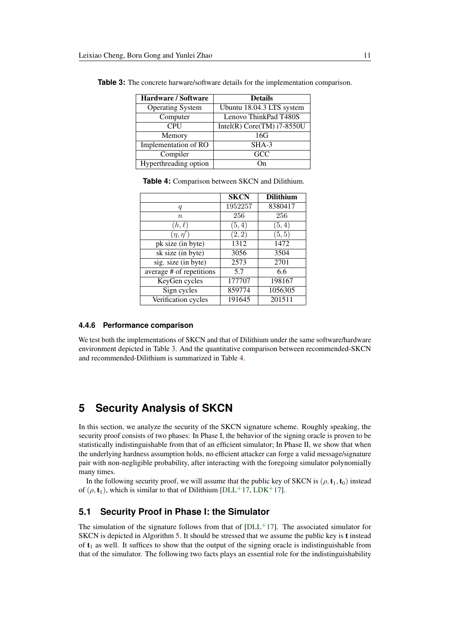| <b>Hardware / Software</b> | <b>Details</b>               |
|----------------------------|------------------------------|
| <b>Operating System</b>    | Ubuntu 18.04.3 LTS system    |
| Computer                   | Lenovo ThinkPad T480S        |
| <b>CPU</b>                 | Intel(R) Core(TM) $i7-8550U$ |
| Memory                     | 16G                          |
| Implementation of RO       | SHA-3                        |
| Compiler                   | GCC                          |
| Hyperthreading option      |                              |

<span id="page-10-0"></span>**Table 3:** The concrete harware/software details for the implementation comparison.

<span id="page-10-1"></span>

|                                       | <b>SKCN</b> | <b>Dilithium</b> |
|---------------------------------------|-------------|------------------|
| q                                     | 1952257     | 8380417          |
| $\boldsymbol{n}$                      | 256         | 256              |
| $(h,\ell)$                            | (5,4)       | (5,4)            |
| $(\eta, \eta')$                       | (2, 2)      | (5, 5)           |
| pk size (in byte)                     | 1312        | 1472             |
| $\overline{\text{sk size}}$ (in byte) | 3056        | 3504             |
| sig. size (in byte)                   | 2573        | 2701             |

 $\overline{\text{average } \# \text{ of repetitions}}$  5.7 6.6 KeyGen cycles 177707 198167 Sign cycles 859774 1056305 Verification cycles | 191645 | 201511

**Table 4:** Comparison between SKCN and Dilithium.

#### **4.4.6 Performance comparison**

We test both the implementations of SKCN and that of Dilithium under the same software/hardware environment depicted in Table [3.](#page-10-0) And the quantitative comparison between recommended-SKCN and recommended-Dilithium is summarized in Table [4.](#page-10-1)

## **5 Security Analysis of SKCN**

In this section, we analyze the security of the SKCN signature scheme. Roughly speaking, the security proof consists of two phases: In Phase I, the behavior of the signing oracle is proven to be statistically indistinguishable from that of an efficient simulator; In Phase II, we show that when the underlying hardness assumption holds, no efficient attacker can forge a valid message/signature pair with non-negligible probability, after interacting with the foregoing simulator polynomially many times.

In the following security proof, we will assume that the public key of SKCN is  $(\rho, t_1, t_0)$  instead of  $(\rho, t_1)$ , which is similar to that of Dilithium [\[DLL](#page-15-0)<sup>+</sup>17, [LDK](#page-16-0)<sup>+</sup>17].

## <span id="page-10-2"></span>**5.1 Security Proof in Phase I: the Simulator**

The simulation of the signature follows from that of  $[DLL+17]$  $[DLL+17]$ . The associated simulator for SKCN is depicted in Algorithm [5.](#page-6-3) It should be stressed that we assume the public key is t instead of  $t_1$  as well. It suffices to show that the output of the signing oracle is indistinguishable from that of the simulator. The following two facts plays an essential role for the indistinguishability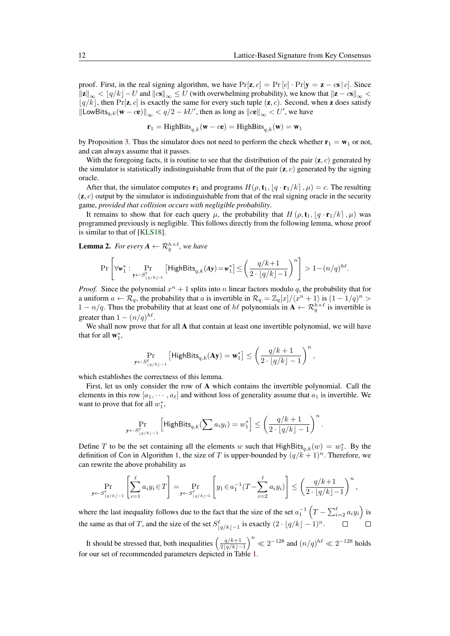proof. First, in the real signing algorithm, we have  $Pr[\mathbf{z}, c] = Pr[c] \cdot Pr[\mathbf{y} = \mathbf{z} - c\mathbf{s} | c]$ . Since  $\|\mathbf{z}\|_{\infty} < \lfloor q/k \rfloor - U$  and  $\|\mathbf{c}\mathbf{s}\|_{\infty} \leq U$  (with overwhelming probability), we know that  $\|\mathbf{z} - \mathbf{c}\mathbf{s}\|_{\infty} < \infty$  $\lfloor q/k \rfloor$ , then Pr[**z**, *c*] is exactly the same for every such tuple (**z**, *c*). Second, when **z** does satisfy  $\|\textsf{LowBits}_{q,k}(\mathbf{w} - c\mathbf{e})\|_{\infty} < q/2 - kU'$ , then as long as  $\|c\mathbf{e}\|_{\infty} < U'$ , we have

$$
\mathbf{r}_1 = \text{HighBits}_{q,k}(\mathbf{w} - c\mathbf{e}) = \text{HighBits}_{q,k}(\mathbf{w}) = \mathbf{w}_1
$$

by Proposition [3.](#page-5-1) Thus the simulator does not need to perform the check whether  $\mathbf{r}_1 = \mathbf{w}_1$  or not, and can always assume that it passes.

With the foregoing facts, it is routine to see that the distribution of the pair (z*, c*) generated by the simulator is statistically indistinguishable from that of the pair  $(z, c)$  generated by the signing oracle.

After that, the simulator computes  $\mathbf{r}_1$  and programs  $H(\rho, \mathbf{t}_1, \mid q \cdot \mathbf{r}_1 / k \mid, \mu) = c$ . The resulting  $(z, c)$  output by the simulator is indistinguishable from that of the real signing oracle in the security game, *provided that collision occurs with negligible probability*.

It remains to show that for each query  $\mu$ , the probability that  $H(\rho, \mathbf{t}_1, \mathbf{q} \cdot \mathbf{r}_1/k]$ ,  $\mu$ ) was programmed previously is negligible. This follows directly from the following lemma, whose proof is similar to that of [\[KLS18\]](#page-16-12).

**Lemma 2.** For every  $A \leftarrow \mathcal{R}_q^{h \times \ell}$ , we have

$$
\Pr\left[\forall {\bf w}^*_1: \Pr_{\mathbf{y} \leftarrow S^{\ell}_{\lfloor q/k \rfloor-1}}\left[\mathsf{HighBits}_{q,k}(\mathbf{A}\mathbf{y})\!=\!\mathbf{w}^*_1\right]\!\leq\!\left(\frac{q/k\!+\!1}{2\cdot\lfloor q/k \rfloor\!-\!1}\right)^n\right]>1-(n/q)^{h\ell}.
$$

*Proof.* Since the polynomial  $x^n + 1$  splits into *n* linear factors modulo *q*, the probability that for a uniform  $a \leftarrow \mathcal{R}_q$ , the probability that *a* is invertible in  $\mathcal{R}_q = \mathbb{Z}_q[x]/\langle x^n + 1 \rangle$  is  $(1 - 1/q)^n >$ 1 − *n/q*. Thus the probability that at least one of *h* $\ell$  polynomials in  $\mathbf{A} \leftarrow \mathcal{R}_q^{h \times \ell}$  is invertible is greater than  $1 - (n/q)^{h\ell}$ .

We shall now prove that for all **A** that contain at least one invertible polynomial, we will have that for all  $\mathbf{w}_1^*$ ,

$$
\Pr_{\substack{\longleftarrow S_{\lfloor q/k\rfloor-1}^{ell}}}\left[\mathsf{HighBits}_{q,k}(\mathbf{Ay})=\mathbf{w}_{1}^{*}\right]\leq\left(\frac{q/k+1}{2\cdot\lfloor q/k\rfloor-1}\right)^{n},
$$

which establishes the correctness of this lemma.

*y*←*S`*

First, let us only consider the row of A which contains the invertible polynomial. Call the elements in this row  $[a_1, \dots, a_\ell]$  and without loss of generality assume that  $a_1$  is invertible. We want to prove that for all  $w_1^*$ ,

$$
\Pr_{y \leftarrow S^{\ell}_{\lfloor q/k \rfloor-1}} \left[ \mathsf{HighBits}_{q,k}(\sum a_i y_i) = w_1^* \right] \leq \left( \frac{q/k+1}{2 \cdot \lfloor q/k \rfloor-1} \right)^n.
$$

Define *T* to be the set containing all the elements *w* such that HighBits<sub>q,k</sub>(*w*) =  $w_1^*$ . By the definition of Con in Algorithm [1,](#page-4-0) the size of *T* is upper-bounded by  $(q/k + 1)^n$ . Therefore, we can rewrite the above probability as

$$
\Pr_{\mathbf{y}\leftarrow S_{\lfloor q/k\rfloor-1}^{\ell}}\left[\sum_{i=1}^{\ell}a_{i}y_{i}\in T\right]=\Pr_{\mathbf{y}\leftarrow S_{\lfloor q/k\rfloor-1}^{\ell}}\left[y_{1}\in a_{1}^{-1}(T-\sum_{i=2}^{\ell}a_{i}y_{i})\right]\leq\left(\frac{q/k+1}{2\cdot\lfloor q/k\rfloor-1}\right)^{n},
$$

where the last inequality follows due to the fact that the size of the set  $a_1^{-1}(T - \sum_{i=2}^{\ell} a_i y_i)$  is the same as that of *T*, and the size of the set  $S^{\ell}_{\lfloor q/k \rfloor - 1}$  is exactly  $(2 \cdot \lfloor q/k \rfloor - 1)^n$ .

It should be stressed that, both inequalities  $\left(\frac{q/k+1}{2|q/k|}\right)$  $\frac{q/k+1}{2\lfloor q/k\rfloor-1}$ <sup>n</sup>  $\ll 2^{-128}$  and  $(n/q)^{h\ell} \ll 2^{-128}$  holds for our set of recommended parameters depicted in Table [1.](#page-8-0)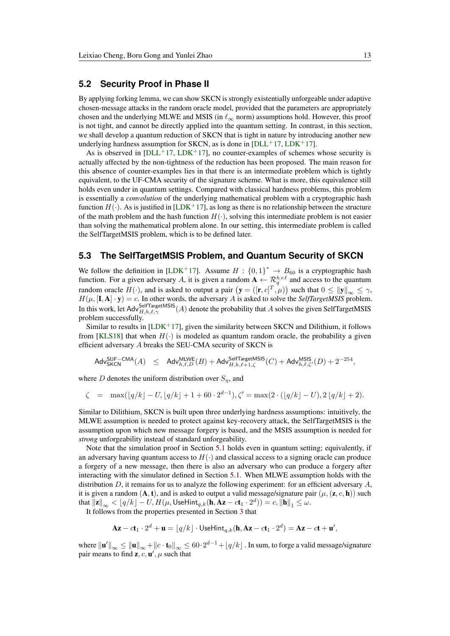### <span id="page-12-0"></span>**5.2 Security Proof in Phase II**

By applying forking lemma, we can show SKCN is strongly existentially unforgeable under adaptive chosen-message attacks in the random oracle model, provided that the parameters are appropriately chosen and the underlying MLWE and MSIS (in *`*<sup>∞</sup> norm) assumptions hold. However, this proof is not tight, and cannot be directly applied into the quantum setting. In contrast, in this section, we shall develop a quantum reduction of SKCN that is tight in nature by introducing another new underlying hardness assumption for SKCN, as is done in  $[DLL+17, LDK+17]$  $[DLL+17, LDK+17]$  $[DLL+17, LDK+17]$  $[DLL+17, LDK+17]$ .

As is observed in  $[DL+17, LDK+17]$  $[DL+17, LDK+17]$  $[DL+17, LDK+17]$ , no counter-examples of schemes whose security is actually affected by the non-tightness of the reduction has been proposed. The main reason for this absence of counter-examples lies in that there is an intermediate problem which is tightly equivalent, to the UF-CMA security of the signature scheme. What is more, this equivalence still holds even under in quantum settings. Compared with classical hardness problems, this problem is essentially a *convolution* of the underlying mathematical problem with a cryptographic hash function  $H(\cdot)$ . As is justified in [\[LDK](#page-16-0)<sup>+</sup>17], as long as there is no relationship between the structure of the math problem and the hash function  $H(\cdot)$ , solving this intermediate problem is not easier than solving the mathematical problem alone. In our setting, this intermediate problem is called the SelfTargetMSIS problem, which is to be defined later.

### **5.3 The SelfTargetMSIS Problem, and Quantum Security of SKCN**

We follow the definition in [\[LDK](#page-16-0)<sup>+</sup>17]. Assume  $H: \{0,1\}^* \rightarrow B_{60}$  is a cryptographic hash function. For a given adversary A, it is given a random  $A \leftarrow \mathcal{R}_q^{h \times \ell}$  and access to the quantum random oracle  $H(\cdot)$ , and is asked to output a pair  $(\mathbf{y} = ([\mathbf{r}, c]^T, \mu))$  such that  $0 \le ||\mathbf{y}||_{\infty} \le \gamma$ ,  $H(\mu, [\mathbf{I}, \mathbf{A}] \cdot \mathbf{y}) = c$ . In other words, the adversary *A* is asked to solve the *SelfTargetMSIS* problem. In this work, let Adv $_{H,h,\ell,\gamma}^{\text{SelfTargetMSIS}}(A)$  denote the probability that *A* solves the given SelfTargetMSIS problem successfully.

Similar to results in  $[LDK+17]$  $[LDK+17]$ , given the similarity between SKCN and Dilithium, it follows from [\[KLS18\]](#page-16-12) that when  $H(\cdot)$  is modeled as quantum random oracle, the probability a given efficient adversary *A* breaks the SEU-CMA security of SKCN is

$$
\mathsf{Adv}_{\mathsf{SKCN}}^{\mathsf{SUF-CMA}}(A) \quad \leq \quad \mathsf{Adv}_{h,\ell,D}^{\mathsf{MLWE}}(B) + \mathsf{Adv}_{H,h,\ell+1,\zeta}^{\mathsf{SelfTargetMSIS}}(C) + \mathsf{Adv}_{h,\ell,\zeta'}^{\mathsf{MSIS}}(D) + 2^{-254},
$$

where *D* denotes the uniform distribution over  $S_\eta$ , and

$$
\zeta = \max(\lfloor q/k \rfloor - U, \lfloor q/k \rfloor + 1 + 60 \cdot 2^{d-1}), \zeta' = \max(2 \cdot (\lfloor q/k \rfloor - U), 2\lfloor q/k \rfloor + 2).
$$

Similar to Dilithium, SKCN is built upon three underlying hardness assumptions: intuitively, the MLWE assumption is needed to protect against key-recovery attack, the SelfTargetMSIS is the assumption upon which new message forgery is based, and the MSIS assumption is needed for *strong* unforgeability instead of standard unforgeability.

Note that the simulation proof in Section [5.1](#page-10-2) holds even in quantum setting; equivalently, if an adversary having quantum access to  $H(\cdot)$  and classical access to a signing oracle can produce a forgery of a new message, then there is also an adversary who can produce a forgery after interacting with the simulator defined in Section [5.1.](#page-10-2) When MLWE assumption holds with the distribution *D*, it remains for us to analyze the following experiment: for an efficient adversary *A*, it is given a random  $(A, t)$ , and is asked to output a valid message/signature pair  $(\mu, (z, c, h))$  such  $\text{that } \|\mathbf{z}\|_{\infty} < \lfloor q/k \rfloor - U, H(\mu, \text{UseHint}_{q,k}(\mathbf{h}, \mathbf{Az}-c\mathbf{t}_1 \cdot 2^d)) = c, \|\mathbf{h}\|_1 \leq \omega.$ 

It follows from the properties presented in Section [3](#page-3-0) that

$$
\mathbf{Az} - c\mathbf{t}_1 \cdot 2^d + \mathbf{u} = \lfloor q/k \rfloor \cdot \mathsf{UseHint}_{q,k}(\mathbf{h}, \mathbf{Az} - c\mathbf{t}_1 \cdot 2^d) = \mathbf{Az} - c\mathbf{t} + \mathbf{u}',
$$

where  $\|\mathbf{u}'\|_{\infty} \leq \|\mathbf{u}\|_{\infty} + \|c \cdot \mathbf{t}_0\|_{\infty} \leq 60 \cdot 2^{d-1} + \lfloor q/k \rfloor$  . In sum, to forge a valid message/signature pair means to find  $z, c, u', \mu$  such that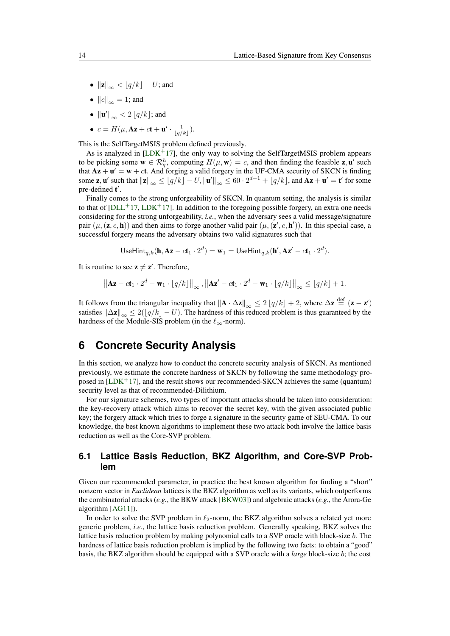- $||\mathbf{z}||_{\infty} < [q/k] U$ ; and
- $||c||_{\infty} = 1$ ; and
- $\|\mathbf{u}'\|_{\infty} < 2 \lfloor q/k \rfloor$ ; and
- $c = H(\mu, Az + ct + u' \cdot \frac{1}{\lfloor q/k \rfloor}).$

This is the SelfTargetMSIS problem defined previously.

As is analyzed in  $[LDK^+17]$  $[LDK^+17]$ , the only way to solving the SelfTargetMSIS problem appears to be picking some  $\mathbf{w} \in \mathcal{R}_q^h$ , computing  $H(\mu, \mathbf{w}) = c$ , and then finding the feasible **z**, **u**' such that  $Az + u' = w + ct$ . And forging a valid forgery in the UF-CMA security of SKCN is finding some **z**, **u**' such that  $||\mathbf{z}||_{\infty} \leq \lfloor q/k \rfloor - U, ||\mathbf{u}'||_{\infty} \leq 60 \cdot 2^{d-1} + \lfloor q/k \rfloor$ , and  $\mathbf{A}\mathbf{z} + \mathbf{u}' = \mathbf{t}'$  for some pre-defined  $t'$ .

Finally comes to the strong unforgeability of SKCN. In quantum setting, the analysis is similar to that of  $[DLL+17, LDK+17]$  $[DLL+17, LDK+17]$  $[DLL+17, LDK+17]$  $[DLL+17, LDK+17]$ . In addition to the foregoing possible forgery, an extra one needs considering for the strong unforgeability, *i.e.*, when the adversary sees a valid message/signature pair  $(\mu, (\mathbf{z}, c, \mathbf{h}))$  and then aims to forge another valid pair  $(\mu, (\mathbf{z}', c, \mathbf{h}'))$ . In this special case, a successful forgery means the adversary obtains two valid signatures such that

UseHint<sub>q,k</sub>(
$$
\mathbf{h}, \mathbf{A}\mathbf{z} - c\mathbf{t}_1 \cdot 2^d
$$
) =  $\mathbf{w}_1$  = UseHint<sub>q,k</sub>( $\mathbf{h}', \mathbf{A}\mathbf{z}' - c\mathbf{t}_1 \cdot 2^d$ ).

It is routine to see  $z \neq z'$ . Therefore,

$$
\left\|\mathbf{Az}-c\mathbf{t}_1\cdot 2^d-\mathbf{w}_1\cdot\lfloor q/k\rfloor\right\|_{\infty},\left\|\mathbf{Az}'-c\mathbf{t}_1\cdot 2^d-\mathbf{w}_1\cdot\lfloor q/k\rfloor\right\|_{\infty}\leq\lfloor q/k\rfloor+1.
$$

It follows from the triangular inequality that  $\|\mathbf{A} \cdot \Delta \mathbf{z}\|_{\infty} \leq 2 \lfloor q/k \rfloor + 2$ , where  $\Delta \mathbf{z} \stackrel{\text{def}}{=} (\mathbf{z} - \mathbf{z}')$ satisfies  $\|\Delta \mathbf{z}\|_{\infty} \leq 2(|q/k| - U)$ . The hardness of this reduced problem is thus guaranteed by the hardness of the Module-SIS problem (in the  $\ell_{\infty}$ -norm).

## **6 Concrete Security Analysis**

In this section, we analyze how to conduct the concrete security analysis of SKCN. As mentioned previously, we estimate the concrete hardness of SKCN by following the same methodology proposed in  $[LDK<sup>+</sup>17]$  $[LDK<sup>+</sup>17]$ , and the result shows our recommended-SKCN achieves the same (quantum) security level as that of recommended-Dilithium.

For our signature schemes, two types of important attacks should be taken into consideration: the key-recovery attack which aims to recover the secret key, with the given associated public key; the forgery attack which tries to forge a signature in the security game of SEU-CMA. To our knowledge, the best known algorithms to implement these two attack both involve the lattice basis reduction as well as the Core-SVP problem.

## **6.1 Lattice Basis Reduction, BKZ Algorithm, and Core-SVP Problem**

Given our recommended parameter, in practice the best known algorithm for finding a "short" nonzero vector in *Euclidean* lattices is the BKZ algorithm as well as its variants, which outperforms the combinatorial attacks (*e.g.*, the BKW attack [\[BKW03\]](#page-15-10)) and algebraic attacks (*e.g.*, the Arora-Ge algorithm [\[AG11\]](#page-14-1)).

In order to solve the SVP problem in  $\ell_2$ -norm, the BKZ algorithm solves a related yet more generic problem, *i.e.*, the lattice basis reduction problem. Generally speaking, BKZ solves the lattice basis reduction problem by making polynomial calls to a SVP oracle with block-size *b*. The hardness of lattice basis reduction problem is implied by the following two facts: to obtain a "good" basis, the BKZ algorithm should be equipped with a SVP oracle with a *large* block-size *b*; the cost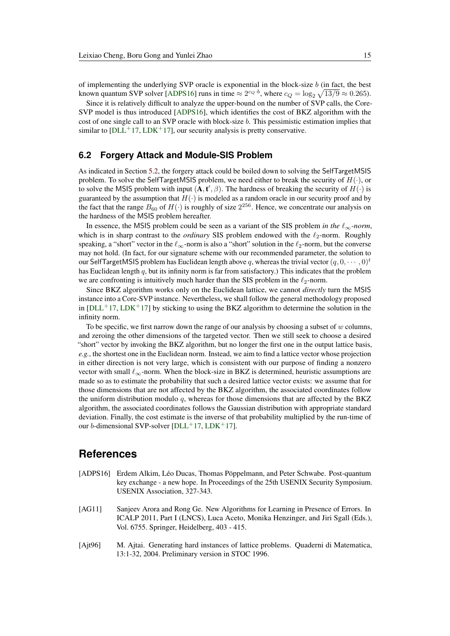of implementing the underlying SVP oracle is exponential in the block-size *b* (in fact, the best known quantum SVP solver [\[ADPS16\]](#page-14-2) runs in time  $\approx 2^{c_Q \cdot b}$ , where  $c_Q = \log_2 \sqrt{13/9} \approx 0.265$ ).

Since it is relatively difficult to analyze the upper-bound on the number of SVP calls, the Core-SVP model is thus introduced [\[ADPS16\]](#page-14-2), which identifies the cost of BKZ algorithm with the cost of one single call to an SVP oracle with block-size *b*. This pessimistic estimation implies that similar to  $[DLL+17, LDK+17]$  $[DLL+17, LDK+17]$  $[DLL+17, LDK+17]$  $[DLL+17, LDK+17]$ , our security analysis is pretty conservative.

## **6.2 Forgery Attack and Module-SIS Problem**

As indicated in Section [5.2,](#page-12-0) the forgery attack could be boiled down to solving the SelfTargetMSIS problem. To solve the SelfTargetMSIS problem, we need either to break the security of *H*(·), or to solve the MSIS problem with input  $(A, t', \beta)$ . The hardness of breaking the security of  $H(\cdot)$  is guaranteed by the assumption that  $H(\cdot)$  is modeled as a random oracle in our security proof and by the fact that the range  $B_{60}$  of  $H(\cdot)$  is roughly of size  $2^{256}$ . Hence, we concentrate our analysis on the hardness of the MSIS problem hereafter.

In essence, the MSIS problem could be seen as a variant of the SIS problem *in the*  $\ell_{\infty}$ *-norm*, which is in sharp contrast to the *ordinary* SIS problem endowed with the  $\ell_2$ -norm. Roughly speaking, a "short" vector in the  $\ell_{\infty}$ -norm is also a "short" solution in the  $\ell_{2}$ -norm, but the converse may not hold. (In fact, for our signature scheme with our recommended parameter, the solution to our SelfTargetMSIS problem has Euclidean length above q, whereas the trivial vector  $(q, 0, \dots, 0)^t$ has Euclidean length *q*, but its infinity norm is far from satisfactory.) This indicates that the problem we are confronting is intuitively much harder than the SIS problem in the  $\ell_2$ -norm.

Since BKZ algorithm works only on the Euclidean lattice, we cannot *directly* turn the MSIS instance into a Core-SVP instance. Nevertheless, we shall follow the general methodology proposed in  $[DLL+17, LDK+17]$  $[DLL+17, LDK+17]$  $[DLL+17, LDK+17]$  $[DLL+17, LDK+17]$  by sticking to using the BKZ algorithm to determine the solution in the infinity norm.

To be specific, we first narrow down the range of our analysis by choosing a subset of *w* columns, and zeroing the other dimensions of the targeted vector. Then we still seek to choose a desired "short" vector by invoking the BKZ algorithm, but no longer the first one in the output lattice basis, *e.g.*, the shortest one in the Euclidean norm. Instead, we aim to find a lattice vector whose projection in either direction is not very large, which is consistent with our purpose of finding a nonzero vector with small  $\ell_{\infty}$ -norm. When the block-size in BKZ is determined, heuristic assumptions are made so as to estimate the probability that such a desired lattice vector exists: we assume that for those dimensions that are not affected by the BKZ algorithm, the associated coordinates follow the uniform distribution modulo *q*, whereas for those dimensions that are affected by the BKZ algorithm, the associated coordinates follows the Gaussian distribution with appropriate standard deviation. Finally, the cost estimate is the inverse of that probability multiplied by the run-time of our *b*-dimensional SVP-solver  $[DLL+17, LDK+17]$  $[DLL+17, LDK+17]$  $[DLL+17, LDK+17]$  $[DLL+17, LDK+17]$ .

## **References**

- <span id="page-14-2"></span>[ADPS16] Erdem Alkim, Léo Ducas, Thomas Pöppelmann, and Peter Schwabe. Post-quantum key exchange - a new hope. In Proceedings of the 25th USENIX Security Symposium. USENIX Association, 327-343.
- <span id="page-14-1"></span>[AG11] Sanjeev Arora and Rong Ge. New Algorithms for Learning in Presence of Errors. In ICALP 2011, Part I (LNCS), Luca Aceto, Monika Henzinger, and Jiri Sgall (Eds.), Vol. 6755. Springer, Heidelberg, 403 - 415.
- <span id="page-14-0"></span>[Ajt96] M. Ajtai. Generating hard instances of lattice problems. Quaderni di Matematica, 13:1-32, 2004. Preliminary version in STOC 1996.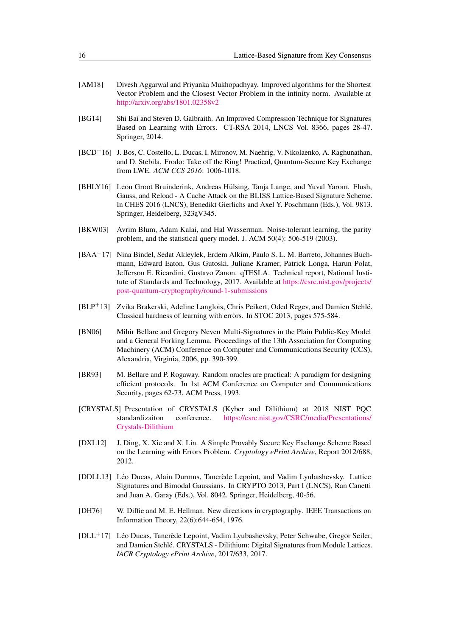- [AM18] Divesh Aggarwal and Priyanka Mukhopadhyay. Improved algorithms for the Shortest Vector Problem and the Closest Vector Problem in the infinity norm. Available at <http://arxiv.org/abs/1801.02358v2>
- <span id="page-15-1"></span>[BG14] Shi Bai and Steven D. Galbraith. An Improved Compression Technique for Signatures Based on Learning with Errors. CT-RSA 2014, LNCS Vol. 8366, pages 28-47. Springer, 2014.
- <span id="page-15-9"></span>[BCD<sup>+</sup>16] J. Bos, C. Costello, L. Ducas, I. Mironov, M. Naehrig, V. Nikolaenko, A. Raghunathan, and D. Stebila. Frodo: Take off the Ring! Practical, Quantum-Secure Key Exchange from LWE. *ACM CCS 2016*: 1006-1018.
- [BHLY16] Leon Groot Bruinderink, Andreas Hülsing, Tanja Lange, and Yuval Yarom. Flush, Gauss, and Reload - A Cache Attack on the BLISS Lattice-Based Signature Scheme. In CHES 2016 (LNCS), Benedikt Gierlichs and Axel Y. Poschmann (Eds.), Vol. 9813. Springer, Heidelberg, 323aV345.
- <span id="page-15-10"></span>[BKW03] Avrim Blum, Adam Kalai, and Hal Wasserman. Noise-tolerant learning, the parity problem, and the statistical query model. J. ACM 50(4): 506-519 (2003).
- <span id="page-15-7"></span>[BAA<sup>+</sup>17] Nina Bindel, Sedat Akleylek, Erdem Alkim, Paulo S. L. M. Barreto, Johannes Buchmann, Edward Eaton, Gus Gutoski, Juliane Kramer, Patrick Longa, Harun Polat, Jefferson E. Ricardini, Gustavo Zanon. qTESLA. Technical report, National Institute of Standards and Technology, 2017. Available at [https://csrc.nist.gov/projects/](https://csrc.nist.gov/projects/post-quantum-cryptography/round-1-submissions) [post-quantum-cryptography/round-1-submissions](https://csrc.nist.gov/projects/post-quantum-cryptography/round-1-submissions)
- <span id="page-15-3"></span>[BLP<sup>+</sup>13] Zvika Brakerski, Adeline Langlois, Chris Peikert, Oded Regev, and Damien Stehlé. Classical hardness of learning with errors. In STOC 2013, pages 575-584.
- [BN06] Mihir Bellare and Gregory Neven Multi-Signatures in the Plain Public-Key Model and a General Forking Lemma. Proceedings of the 13th Association for Computing Machinery (ACM) Conference on Computer and Communications Security (CCS), Alexandria, Virginia, 2006, pp. 390-399.
- <span id="page-15-5"></span>[BR93] M. Bellare and P. Rogaway. Random oracles are practical: A paradigm for designing efficient protocols. In 1st ACM Conference on Computer and Communications Security, pages 62-73. ACM Press, 1993.
- <span id="page-15-2"></span>[CRYSTALS] Presentation of CRYSTALS (Kyber and Dilithium) at 2018 NIST PQC standardizaiton conference. [https://csrc.nist.gov/CSRC/media/Presentations/]( https://csrc.nist.gov/CSRC/media/Presentations/Crystals-Dilithium) [Crystals-Dilithium]( https://csrc.nist.gov/CSRC/media/Presentations/Crystals-Dilithium)
- <span id="page-15-8"></span>[DXL12] J. Ding, X. Xie and X. Lin. A Simple Provably Secure Key Exchange Scheme Based on the Learning with Errors Problem. *Cryptology ePrint Archive*, Report 2012/688, 2012.
- <span id="page-15-6"></span>[DDLL13] Léo Ducas, Alain Durmus, Tancrède Lepoint, and Vadim Lyubashevsky. Lattice Signatures and Bimodal Gaussians. In CRYPTO 2013, Part I (LNCS), Ran Canetti and Juan A. Garay (Eds.), Vol. 8042. Springer, Heidelberg, 40-56.
- <span id="page-15-4"></span>[DH76] W. Diffie and M. E. Hellman. New directions in cryptography. IEEE Transactions on Information Theory, 22(6):644-654, 1976.
- <span id="page-15-0"></span>[DLL<sup>+</sup>17] Léo Ducas, Tancrède Lepoint, Vadim Lyubashevsky, Peter Schwabe, Gregor Seiler, and Damien Stehlé. CRYSTALS - Dilithium: Digital Signatures from Module Lattices. *IACR Cryptology ePrint Archive*, 2017/633, 2017.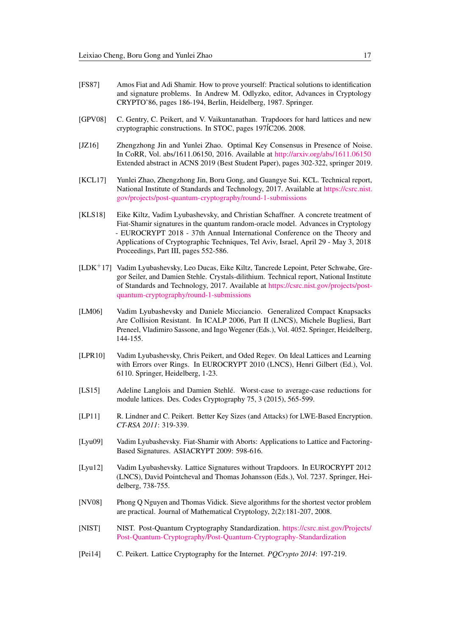- <span id="page-16-5"></span>[FS87] Amos Fiat and Adi Shamir. How to prove yourself: Practical solutions to identification and signature problems. In Andrew M. Odlyzko, editor, Advances in Cryptology CRYPTO'86, pages 186-194, Berlin, Heidelberg, 1987. Springer.
- <span id="page-16-4"></span>[GPV08] C. Gentry, C. Peikert, and V. Vaikuntanathan. Trapdoors for hard lattices and new cryptographic constructions. In STOC, pages 197 $\overline{C}$ 2008. 2008.
- <span id="page-16-3"></span>[JZ16] Zhengzhong Jin and Yunlei Zhao. Optimal Key Consensus in Presence of Noise. In CoRR, Vol. abs/1611.06150, 2016. Available at <http://arxiv.org/abs/1611.06150> Extended abstract in ACNS 2019 (Best Student Paper), pages 302-322, springer 2019.
- [KCL17] Yunlei Zhao, Zhengzhong Jin, Boru Gong, and Guangye Sui. KCL. Technical report, National Institute of Standards and Technology, 2017. Available at [https://csrc.nist.](https://csrc.nist.gov/projects/post-quantum-cryptography/round-1-submissions) [gov/projects/post-quantum-cryptography/round-1-submissions](https://csrc.nist.gov/projects/post-quantum-cryptography/round-1-submissions)
- <span id="page-16-12"></span>[KLS18] Eike Kiltz, Vadim Lyubashevsky, and Christian Schaffner. A concrete treatment of Fiat-Shamir signatures in the quantum random-oracle model. Advances in Cryptology - EUROCRYPT 2018 - 37th Annual International Conference on the Theory and Applications of Cryptographic Techniques, Tel Aviv, Israel, April 29 - May 3, 2018 Proceedings, Part III, pages 552-586.
- <span id="page-16-0"></span>[LDK<sup>+</sup>17] Vadim Lyubashevsky, Leo Ducas, Eike Kiltz, Tancrede Lepoint, Peter Schwabe, Gregor Seiler, and Damien Stehle. Crystals-dilithium. Technical report, National Institute of Standards and Technology, 2017. Available at [https://csrc.nist.gov/projects/post](https://csrc.nist.gov/projects/post-quantum-cryptography/round-1-submissions)[quantum-cryptography/round-1-submissions](https://csrc.nist.gov/projects/post-quantum-cryptography/round-1-submissions)
- <span id="page-16-11"></span>[LM06] Vadim Lyubashevsky and Daniele Micciancio. Generalized Compact Knapsacks Are Collision Resistant. In ICALP 2006, Part II (LNCS), Michele Bugliesi, Bart Preneel, Vladimiro Sassone, and Ingo Wegener (Eds.), Vol. 4052. Springer, Heidelberg, 144-155.
- <span id="page-16-7"></span>[LPR10] Vadim Lyubashevsky, Chris Peikert, and Oded Regev. On Ideal Lattices and Learning with Errors over Rings. In EUROCRYPT 2010 (LNCS), Henri Gilbert (Ed.), Vol. 6110. Springer, Heidelberg, 1-23.
- <span id="page-16-10"></span>[LS15] Adeline Langlois and Damien Stehlé. Worst-case to average-case reductions for module lattices. Des. Codes Cryptography 75, 3 (2015), 565-599.
- <span id="page-16-8"></span>[LP11] R. Lindner and C. Peikert. Better Key Sizes (and Attacks) for LWE-Based Encryption. *CT-RSA 2011*: 319-339.
- <span id="page-16-1"></span>[Lyu09] Vadim Lyubashevsky. Fiat-Shamir with Aborts: Applications to Lattice and Factoring-Based Signatures. ASIACRYPT 2009: 598-616.
- <span id="page-16-2"></span>[Lyu12] Vadim Lyubashevsky. Lattice Signatures without Trapdoors. In EUROCRYPT 2012 (LNCS), David Pointcheval and Thomas Johansson (Eds.), Vol. 7237. Springer, Heidelberg, 738-755.
- [NV08] Phong Q Nguyen and Thomas Vidick. Sieve algorithms for the shortest vector problem are practical. Journal of Mathematical Cryptology, 2(2):181-207, 2008.
- <span id="page-16-6"></span>[NIST] NIST. Post-Quantum Cryptography Standardization. [https://csrc.nist.gov/Projects/](https://csrc.nist.gov/Projects/Post-Quantum-Cryptography/Post-Quantum-Cryptography-Standardization) [Post-Quantum-Cryptography/Post-Quantum-Cryptography-Standardization](https://csrc.nist.gov/Projects/Post-Quantum-Cryptography/Post-Quantum-Cryptography-Standardization)
- <span id="page-16-9"></span>[Pei14] C. Peikert. Lattice Cryptography for the Internet. *PQCrypto 2014*: 197-219.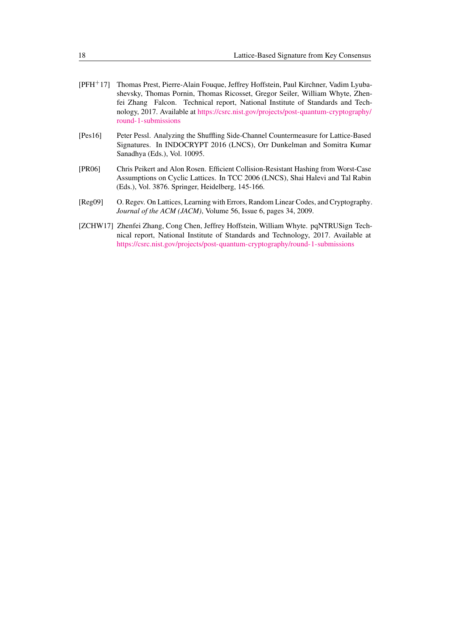- <span id="page-17-1"></span>[PFH<sup>+</sup>17] Thomas Prest, Pierre-Alain Fouque, Jeffrey Hoffstein, Paul Kirchner, Vadim Lyubashevsky, Thomas Pornin, Thomas Ricosset, Gregor Seiler, William Whyte, Zhenfei Zhang Falcon. Technical report, National Institute of Standards and Technology, 2017. Available at [https://csrc.nist.gov/projects/post-quantum-cryptography/](https://csrc.nist.gov/projects/post-quantum-cryptography/round-1-submissions) [round-1-submissions](https://csrc.nist.gov/projects/post-quantum-cryptography/round-1-submissions)
- [Pes16] Peter Pessl. Analyzing the Shuffling Side-Channel Countermeasure for Lattice-Based Signatures. In INDOCRYPT 2016 (LNCS), Orr Dunkelman and Somitra Kumar Sanadhya (Eds.), Vol. 10095.
- <span id="page-17-3"></span>[PR06] Chris Peikert and Alon Rosen. Efficient Collision-Resistant Hashing from Worst-Case Assumptions on Cyclic Lattices. In TCC 2006 (LNCS), Shai Halevi and Tal Rabin (Eds.), Vol. 3876. Springer, Heidelberg, 145-166.
- <span id="page-17-0"></span>[Reg09] O. Regev. On Lattices, Learning with Errors, Random Linear Codes, and Cryptography. *Journal of the ACM (JACM)*, Volume 56, Issue 6, pages 34, 2009.
- <span id="page-17-2"></span>[ZCHW17] Zhenfei Zhang, Cong Chen, Jeffrey Hoffstein, William Whyte. pqNTRUSign Technical report, National Institute of Standards and Technology, 2017. Available at <https://csrc.nist.gov/projects/post-quantum-cryptography/round-1-submissions>